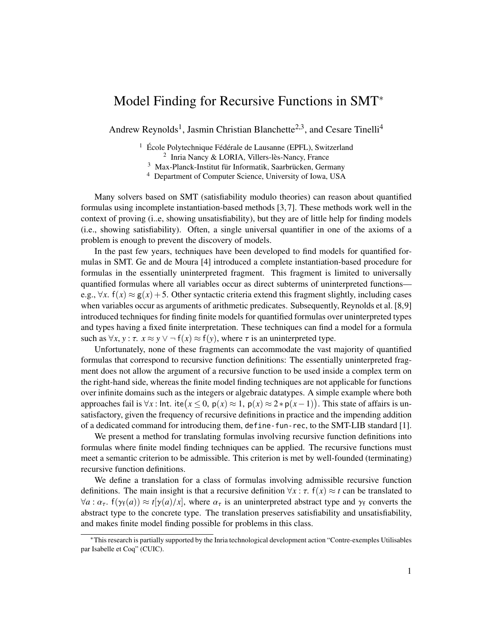## Model Finding for Recursive Functions in SMT<sup>∗</sup>

Andrew Reynolds<sup>1</sup>, Jasmin Christian Blanchette<sup>2,3</sup>, and Cesare Tinelli<sup>4</sup>

<sup>1</sup> École Polytechnique Fédérale de Lausanne (EPFL), Switzerland 2 Inria Nancy & LORIA, Villers-lès-Nancy, France

<sup>3</sup> Max-Planck-Institut für Informatik, Saarbrücken, Germany

<sup>4</sup> Department of Computer Science, University of Iowa, USA

Many solvers based on SMT (satisfiability modulo theories) can reason about quantified formulas using incomplete instantiation-based methods [\[3,](#page-1-0) [7\]](#page-1-1). These methods work well in the context of proving (i..e, showing unsatisfiability), but they are of little help for finding models (i.e., showing satisfiability). Often, a single universal quantifier in one of the axioms of a problem is enough to prevent the discovery of models.

In the past few years, techniques have been developed to find models for quantified formulas in SMT. Ge and de Moura [\[4\]](#page-1-2) introduced a complete instantiation-based procedure for formulas in the essentially uninterpreted fragment. This fragment is limited to universally quantified formulas where all variables occur as direct subterms of uninterpreted functions e.g.,  $\forall x$ .  $f(x) \approx g(x) + 5$ . Other syntactic criteria extend this fragment slightly, including cases when variables occur as arguments of arithmetic predicates. Subsequently, Reynolds et al. [\[8](#page-1-3)[,9\]](#page-1-4) introduced techniques for finding finite models for quantified formulas over uninterpreted types and types having a fixed finite interpretation. These techniques can find a model for a formula such as  $\forall x, y : \tau$ .  $x \approx y \lor \neg f(x) \approx f(y)$ , where  $\tau$  is an uninterpreted type.

Unfortunately, none of these fragments can accommodate the vast majority of quantified formulas that correspond to recursive function definitions: The essentially uninterpreted fragment does not allow the argument of a recursive function to be used inside a complex term on the right-hand side, whereas the finite model finding techniques are not applicable for functions over infinite domains such as the integers or algebraic datatypes. A simple example where both approaches fail is  $\forall x$  : Int. ite( $x \le 0$ ,  $p(x) \approx 1$ ,  $p(x) \approx 2 * p(x-1)$ ). This state of affairs is un-<br>satisfactory given the frequency of recursive definitions in practice and the impeding addition satisfactory, given the frequency of recursive definitions in practice and the impending addition of a dedicated command for introducing them, define-fun-rec, to the SMT-LIB standard [\[1\]](#page-1-5).

We present a method for translating formulas involving recursive function definitions into formulas where finite model finding techniques can be applied. The recursive functions must meet a semantic criterion to be admissible. This criterion is met by well-founded (terminating) recursive function definitions.

We define a translation for a class of formulas involving admissible recursive function definitions. The main insight is that a recursive definition  $\forall x : \tau$ .  $f(x) \approx t$  can be translated to  $\forall a: \alpha_{\tau}$ ,  $f(\gamma_{f}(a)) \approx t[\gamma(a)/x]$ , where  $\alpha_{\tau}$  is an uninterpreted abstract type and  $\gamma_{f}$  converts the abstract type to the concrete type. The translation preserves satisfiability and unsatisfiability, and makes finite model finding possible for problems in this class.

<sup>∗</sup>This research is partially supported by the Inria technological development action "Contre-exemples Utilisables par Isabelle et Coq" (CUIC).